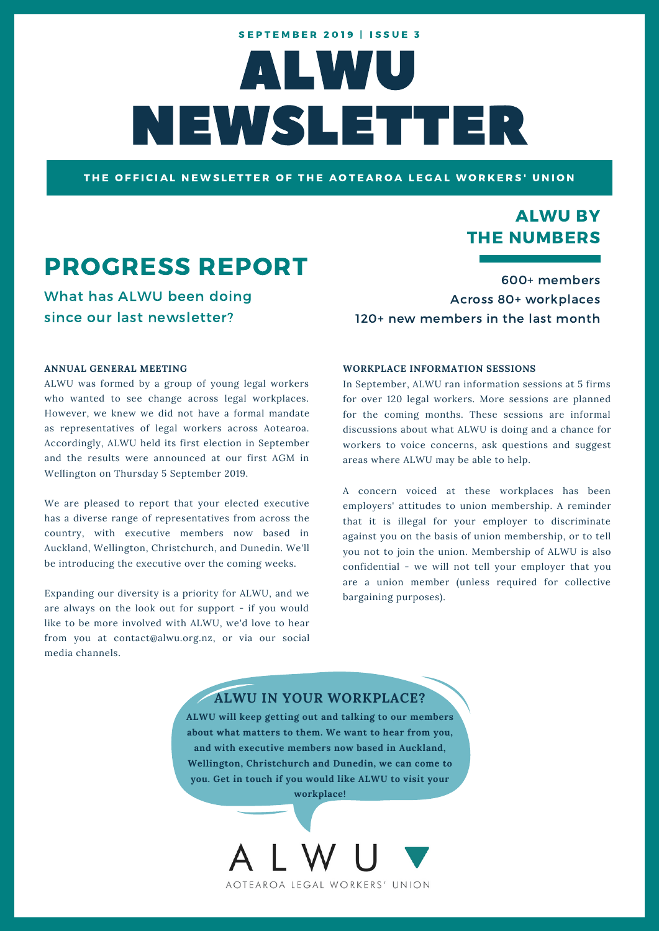# ALWU NEWSLETTER **SEPTEMBER 2019 | ISSUE 3**

THE OFFICIAL NEWSLETTER OF THE AOTEAROA LEGAL WORKERS' UNION

### ALWU BY THE NUMBERS

# PROGRESS REPORT

What has ALWU been doing since our last newsletter?

600+ members Across 80+ workplaces 120+ new members in the last month

#### **ANNUAL GENERAL MEETING**

ALWU was formed by a group of young legal workers who wanted to see change across legal workplaces. However, we knew we did not have a formal mandate as representatives of legal workers across Aotearoa. Accordingly, ALWU held its first election in September and the results were announced at our first AGM in Wellington on Thursday 5 September 2019.

We are pleased to report that your elected executive has a diverse range of representatives from across the country, with executive members now based in Auckland, Wellington, Christchurch, and Dunedin. We'll be introducing the executive over the coming weeks.

Expanding our diversity is a priority for ALWU, and we are always on the look out for support - if you would like to be more involved with ALWU, we'd love to hear from you at contact@alwu.org.nz, or via our social media channels.

#### **WORKPLACE INFORMATION SESSIONS**

In September, ALWU ran information sessions at 5 firms for over 120 legal workers. More sessions are planned for the coming months. These sessions are informal discussions about what ALWU is doing and a chance for workers to voice concerns, ask questions and suggest areas where ALWU may be able to help.

A concern voiced at these workplaces has been employers' attitudes to union membership. A reminder that it is illegal for your employer to discriminate against you on the basis of union membership, or to tell you not to join the union. Membership of ALWU is also confidential - we will not tell your employer that you are a union member (unless required for collective bargaining purposes).

#### **ALWU IN YOUR WORKPLACE?**

**ALWU will keep getting out and talking to our members about what matters to them. We want to hear from you, and with executive members now based in Auckland, Wellington, Christchurch and Dunedin, we can come to you. Get in touch if you would like ALWU to visit your**

**workplace!**

AOTEAROA LEGAL WORKERS' UNION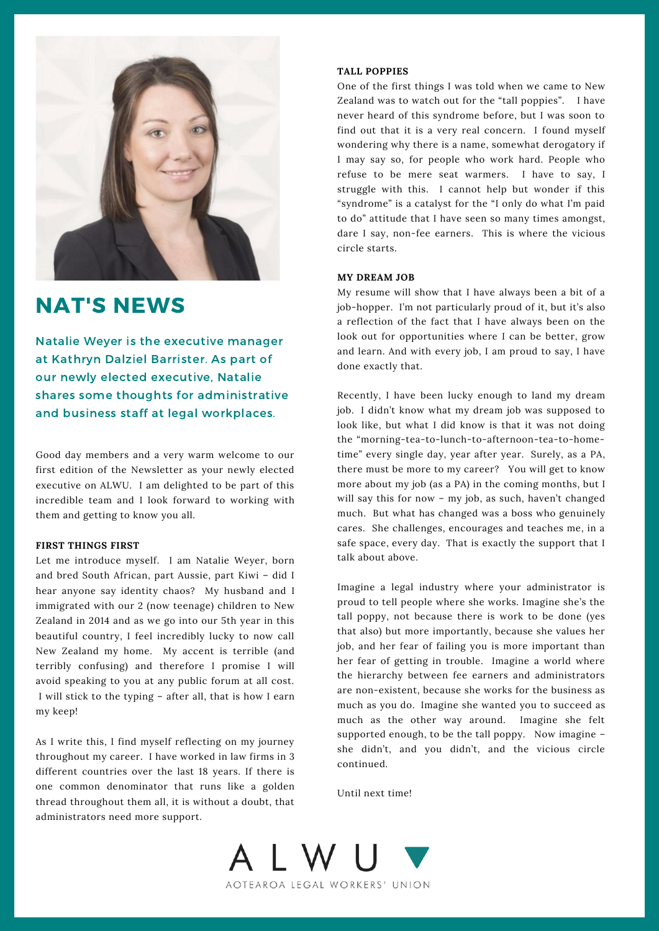

## NAT'S NEWS

Natalie Weyer is the executive manager at Kathryn Dalziel Barrister. As part of our newly elected executive, Natalie shares some thoughts for administrative and business staff at legal workplaces.

Good day members and a very warm welcome to our first edition of the Newsletter as your newly elected executive on ALWU. I am delighted to be part of this incredible team and I look forward to working with them and getting to know you all.

#### **FIRST THINGS FIRST**

Let me introduce myself. I am Natalie Weyer, born and bred South African, part Aussie, part Kiwi – did I hear anyone say identity chaos? My husband and I immigrated with our 2 (now teenage) children to New Zealand in 2014 and as we go into our 5th year in this beautiful country, I feel incredibly lucky to now call New Zealand my home. My accent is terrible (and terribly confusing) and therefore I promise I will avoid speaking to you at any public forum at all cost. I will stick to the typing – after all, that is how I earn my keep!

As I write this, I find myself reflecting on my journey throughout my career. I have worked in law firms in 3 different countries over the last 18 years. If there is one common denominator that runs like a golden thread throughout them all, it is without a doubt, that administrators need more support.

#### **TALL POPPIES**

One of the first things I was told when we came to New Zealand was to watch out for the "tall poppies". I have never heard of this syndrome before, but I was soon to find out that it is a very real concern. I found myself wondering why there is a name, somewhat derogatory if I may say so, for people who work hard. People who refuse to be mere seat warmers. I have to say, I struggle with this. I cannot help but wonder if this "syndrome" is a catalyst for the "I only do what I'm paid to do" attitude that I have seen so many times amongst, dare I say, non-fee earners. This is where the vicious circle starts.

#### **MY DREAM JOB**

My resume will show that I have always been a bit of a job-hopper. I'm not particularly proud of it, but it's also a reflection of the fact that I have always been on the look out for opportunities where I can be better, grow and learn. And with every job, I am proud to say, I have done exactly that.

Recently, I have been lucky enough to land my dream job. I didn't know what my dream job was supposed to look like, but what I did know is that it was not doing the "morning-tea-to-lunch-to-afternoon-tea-to-hometime" every single day, year after year. Surely, as a PA, there must be more to my career? You will get to know more about my job (as a PA) in the coming months, but I will say this for now – my job, as such, haven't changed much. But what has changed was a boss who genuinely cares. She challenges, encourages and teaches me, in a safe space, every day. That is exactly the support that I talk about above.

Imagine a legal industry where your administrator is proud to tell people where she works. Imagine she's the tall poppy, not because there is work to be done (yes that also) but more importantly, because she values her job, and her fear of failing you is more important than her fear of getting in trouble. Imagine a world where the hierarchy between fee earners and administrators are non-existent, because she works for the business as much as you do. Imagine she wanted you to succeed as much as the other way around. Imagine she felt supported enough, to be the tall poppy. Now imagine – she didn't, and you didn't, and the vicious circle continued.

Until next time!